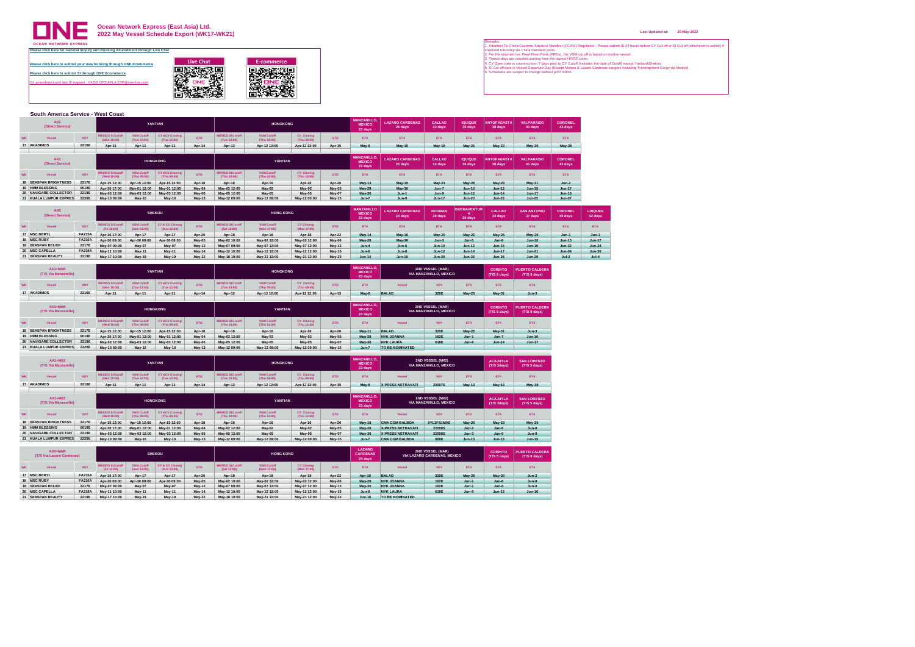

## **Ocean Network Express (East Asia) Ltd. 2022 May Vessel Schedule Export (WK17-WK21)**

**[Please click here to submit your new booking through ONE Ecommerce](https://hk.one-line.com/ecommerce-applications) Please click here to submit SI through ONE Ecommerce** ment and late SI request : HKGD.OFS.AFLA.EXP@one-line.com Live Chat<br> **Excommerce**<br>
<del>国際教育部</del><br>
STATE - 東京都市大学<br>
HOMES - 東京都市大学部<br>
HOMES - 東京都市大学部

|           | South America Service - West Coast  |       |                                        |                                  |                                          |            |                                        |                                  |                                  |            |                                                |                                   |                   |                           |                               |                              |                           |
|-----------|-------------------------------------|-------|----------------------------------------|----------------------------------|------------------------------------------|------------|----------------------------------------|----------------------------------|----------------------------------|------------|------------------------------------------------|-----------------------------------|-------------------|---------------------------|-------------------------------|------------------------------|---------------------------|
|           | AX <sub>1</sub><br>(Direct Service) |       |                                        |                                  | YANTIAN                                  |            |                                        | <b>HONGKONG</b>                  |                                  |            | <b>MANZANILLO</b><br><b>MEXICO</b><br>23 days  | <b>LAZARO CARDENAS</b><br>25 days | CALLAO<br>33 days | <b>IQUIQUE</b><br>36 days | <b>ANTOFAGASTA</b><br>38 days | <b>VALPARAISO</b><br>41 days | <b>CORONEL</b><br>43 days |
| <b>WK</b> | Vessel                              | VOY   | <b>MEXICO SI Cutoff</b><br>(Mon 10:00) | <b>VGM Cutoff</b><br>(Tue 12:00) | <b>CY &amp;CV Closing</b><br>(Tue 12:00) | <b>ETD</b> | <b>MEXICO SI Cutoff</b><br>(Tue 10:00) | <b>VGM Cutoff</b><br>(Thu 09:00) | <b>CY Closing</b><br>(Thu 09:00) | <b>ETD</b> | <b>ETA</b>                                     | <b>ETA</b>                        | <b>ETA</b>        | <b>ETA</b>                | <b>ETA</b>                    | ETA                          | <b>ETA</b>                |
|           | 17 AKADIMOS                         | 2216E | Apr-11                                 | Apr-11                           | Apr-11                                   | Apr-14     | Apr-12                                 | Apr-12 12:00                     | Apr-12 12:00                     | Apr-15     | May-8                                          | May-10                            | <b>May-18</b>     | <b>May-21</b>             | <b>May-23</b>                 | <b>May-26</b>                | <b>May-28</b>             |
|           |                                     |       |                                        |                                  |                                          |            |                                        |                                  |                                  |            |                                                |                                   |                   |                           |                               |                              |                           |
|           |                                     |       |                                        |                                  |                                          |            |                                        |                                  |                                  |            |                                                |                                   |                   |                           |                               |                              |                           |
|           | AX <sub>1</sub><br>(Direct Service) |       |                                        |                                  | <b>HONGKONG</b>                          |            |                                        | YANTIAN                          |                                  |            | <b>MANZANILLO.</b><br><b>MEXICO</b><br>23 days | <b>LAZARO CARDENAS</b><br>25 days | CALLAO<br>33 days | <b>IQUIQUE</b><br>36 days | <b>ANTOFAGASTA</b><br>38 days | <b>VALPARAISO</b><br>41 days | <b>CORONEL</b><br>43 days |
| <b>WK</b> | Vessel                              | VOY   | <b>MEXICO SI Cutoff</b><br>(Wed 10:00) | <b>VGM Cutoff</b><br>(Thu 09:00) | <b>CY &amp;CV Closing</b><br>(Thu 09:00) | <b>ETD</b> | <b>MEXICO SI Cutoff</b><br>(Thu 10:00) | <b>VGM Cutoff</b><br>(Thu 12:00) | <b>CY Closing</b><br>(Thu 12:00) | <b>FTD</b> | <b>ETA</b>                                     | <b>ETA</b>                        | <b>FTA</b>        | <b>FTA</b>                | <b>FTA</b>                    | <b>ETA</b>                   | <b>ETA</b>                |
|           | <b>18 SEASPAN BRIGHTNESS</b>        | 2217E | Apr-15 12:00                           | Apr-15 12:00                     | Apr-15 12:00                             | Apr-18     | Apr-16                                 | Apr-16                           | Apr-16                           | Apr-20     | May-13                                         | <b>May-15</b>                     | <b>May-23</b>     | <b>May-26</b>             | <b>May-28</b>                 | May 31                       | $Jun-2$                   |
|           | 19 HMM BLESSING                     | 0019E | Apr-30 17:00                           | May-01 12:00                     | May-01 12:00                             | May 04     | May-02 12:00                           | <b>May-02</b>                    | May 02                           | May 05     | <b>May-28</b>                                  | <b>May-30</b>                     | $Jun-7$           | <b>Jun-10</b>             | $Jun-12$                      | <b>Jun-15</b>                | <b>Jun-17</b>             |
|           | 20 NAVIGARE COLLECTOR               | 2219E | May-03 12:00                           | May-03 12:00                     | May-03 12:00                             | May-06     | May-05 12:00                           | <b>May-05</b>                    | May 05                           | May-07     | May 30                                         | $Jun-1$                           | $Jun-9$           | $Jun-12$                  | $Jun-14$                      | <b>Jun-17</b>                | <b>Jun-19</b>             |

| AX <sub>2</sub><br>(Direct Service) |               |                                       |                                 | <b>SHEKOU</b>                             |            |                                       | <b>HONG KONG</b>                 |                                  |               | <b>MANZANILLO</b><br><b>MEXICO</b><br>22 days | <b>LAZARO CARDENAS</b><br>24 days | <b>RODMAN</b><br>28 days | <b>BUENAVENTUR</b><br>30 days | CALLAO<br>33 days | <b>SAN ANTONIO</b><br>37 days | <b>CORONEL</b><br>40 days | <b>LIRQUEN</b><br>42 days |
|-------------------------------------|---------------|---------------------------------------|---------------------------------|-------------------------------------------|------------|---------------------------------------|----------------------------------|----------------------------------|---------------|-----------------------------------------------|-----------------------------------|--------------------------|-------------------------------|-------------------|-------------------------------|---------------------------|---------------------------|
| Vessel                              | VOY           | <b>IEXICO SI Cutof</b><br>(Fri 12:00) | <b>VGM Cutof</b><br>(Sun 12:00) | <b>CY &amp; CV Closing</b><br>(Sun 12:00) | <b>ETD</b> | <b>MEXICO SI Cutof</b><br>(Sat 12:00) | <b>VGM Cutoff</b><br>(Mon 17:00) | <b>CY Closing</b><br>(Mon 17:00) | <b>FTD</b>    | <b>FTA</b>                                    | <b>ETA</b>                        | <b>FTA</b>               | <b>FTA</b>                    | <b>FTA</b>        | <b>ETA</b>                    | <b>FTA</b>                | <b>ETA</b>                |
| 17 MSC BERYL                        | <b>FA215A</b> | Apr-16 17:00                          | Apr-17                          | Apr-17                                    | Apr-20     | Apr-18                                | Apr-18                           | Apr-18                           | Apr-22        | May 14                                        | <b>May-16</b>                     | May-20                   | <b>May-22</b>                 | <b>May-25</b>     | <b>May-29</b>                 | $Jun-1$                   | $Jun-3$                   |
| 18 MSC RUBY                         | <b>FA216A</b> | Apr-30 09:00                          | Apr-30 09:00                    | Apr-30 09:00                              | May 05     | May-02 10:00                          | May-02 12:00                     | May-02 12:00                     | May-06        | <b>May-28</b>                                 | <b>May-30</b>                     | $Jun-3$                  | $Jun-5$                       | $Jun-8$           | $Jun-12$                      | <b>Jun-15</b>             | <b>Jun-17</b>             |
| 19 SEASPAN BELIEF                   | 2217E         | May-07 09:00                          | May-07                          | May-07                                    | May-12     | May-07 09:00                          | May-07 12:00                     | May-07 12:00                     | May-13        | $Jun-4$                                       | $Jun-6$                           | <b>Jun-10</b>            | Jun-12                        | <b>Jun-15</b>     | <b>Jun-19</b>                 | $Jun-22$                  | $Jun-24$                  |
| 20 MSC CAPELLA                      | <b>FA218A</b> | May-11 10:00                          | May 11                          | <b>May-11</b>                             | May 14     | May-12 10:00                          | May-12 12:00                     | May-12 12:00                     | <b>May 15</b> | $Jun-6$                                       | $Jun-8$                           | $Jun-12$                 | $Jun-14$                      | Jun-17            | $Jun-21$                      | $Jun-24$                  | <b>Jun-26</b>             |
| 21 SEASPAN BEAUTY                   | 2219E         | May-17 10:00                          | May 19                          | May-19                                    | May-22     | May-18 10:00                          | May-21 12:00                     | May-21 12:00                     | May 23        | <b>Jun-14</b>                                 | <b>Jun-16</b>                     | Jun-20                   | Jun-22                        | $Jun-25$          | <b>Jun-29</b>                 | $Jul-2$                   | $Jul-4$                   |

| $AX1+MAR$<br>(T/S Via Manzanillo)                |       |                                        |                                  | YANTIAN                                  |               |                                        | <b>HONGKONG</b>                  |                                  |            | <b>MANZANILLO.</b><br><b>MEXICO</b><br>23 days |                 | 2ND VSSSEL (MAR)<br>VIA MANZANILLO, MEXICO |               | <b>CORINTO</b><br>(T/S 6 days) | <b>PUERTO CALDERA</b><br>(T/S 9 days) |
|--------------------------------------------------|-------|----------------------------------------|----------------------------------|------------------------------------------|---------------|----------------------------------------|----------------------------------|----------------------------------|------------|------------------------------------------------|-----------------|--------------------------------------------|---------------|--------------------------------|---------------------------------------|
| Vessel                                           | VOY   | <b>MEXICO SI Cutoff</b><br>(Mon 10:00) | <b>VGM Cutoff</b><br>(Tue 12:00) | <b>CY &amp;CV Closing</b><br>(Tue 12:00) | FTD.          | <b>MEXICO SI Cutoff</b><br>(Tue 10:00) | <b>VGM Cutoff</b><br>(Thu 09:00) | CY Closing<br>(Thu 09:00)        | <b>ETD</b> | <b>ETA</b>                                     | Vessel          | VOY                                        | <b>ETD</b>    | <b>FTA</b>                     | ETA                                   |
|                                                  | 2216E | Apr-11                                 | Apr-11                           | Apr-11                                   | Apr-14        | Apr-12                                 | Apr-12 12:00                     | Apr-12 12:00                     | Apr-15     | May-8                                          | <b>BALAO</b>    | 320E                                       | <b>May-25</b> | <b>May-31</b>                  | $Jun-3$                               |
|                                                  |       |                                        |                                  |                                          |               |                                        |                                  |                                  |            |                                                |                 |                                            |               |                                |                                       |
| 17 AKADIMOS<br>$AX1+MAP$<br>(T/S Via Manzanillo) |       |                                        |                                  | <b>HONGKONG</b>                          |               |                                        | <b>YANTIAN</b>                   |                                  |            | <b>MANZANILLO.</b><br><b>MEXICO</b><br>23 days |                 | 2ND VSSSEL (MAR)<br>VIA MANZANILLO, MEXICO |               | <b>CORINTO</b><br>(T/S 6 days) | <b>PUERTO CALDERA</b><br>(T/S 9 days) |
| Vessel                                           | VOY   | <b>MEXICO SI Cutoff</b><br>(Wed 10:00) | <b>VGM Cutoff</b><br>(Thu 09:00) | <b>CY &amp;CV Closing</b><br>(Thu 09:00) | FTD.          | <b>MEXICO SI Cutoff</b><br>(Thu 10:00) | <b>VGM Cutoff</b><br>(Thu 12:00) | <b>CY Closing</b><br>(Thu 12:00) | <b>ETD</b> | <b>FTA</b>                                     | Vessel          | VOY                                        | <b>ETD</b>    | <b>FTA</b>                     | ETA                                   |
| <b>18 SEASPAN BRIGHTNESS</b>                     | 2217E | Apr-15 12:00                           | Apr-15 12:00                     | Apr-15 12:00                             | Apr-18        | Apr-16                                 | Apr-16                           | Apr-16                           | Apr-20     | May 11                                         | <b>BALAO</b>    | 320E                                       | <b>May-25</b> | May-31                         | $Jun-3$                               |
| 19 HMM BLESSING                                  | 0019E | Apr-30 17:00                           | May-01 12:00                     | May-01 12:00                             | May 04        | May-02 12:00                           | May-02                           | May 02                           | May-05     | May-28                                         | NYK JOANNA      | 162E                                       | $Jun-1$       | $Jun-7$                        | <b>Jun-10</b>                         |
| 20 NAVIGARE COLLECTOR                            | 2219E | May-03 12:00                           | May-03 12:00                     | May-03 12:00                             | May-06        | May-05 12:00                           | May-05                           | May-05                           | May-07     | May 30                                         | NYK LAURA       | 618E                                       | $Jun-8$       | $Jun-14$                       | <b>Jun-17</b>                         |
| 21 KUALA LUMPUR EXPRES                           | 2220E | May-10 09:00                           | May-10                           | <b>May-10</b>                            | <b>May 13</b> | May-12 09:00                           | May-12 09:00                     | May-12 09:00                     | May-15     | $Jun-7$                                        | TO BE NOMINATED |                                            |               |                                |                                       |

|    | $AX1+MX2$<br>(T/S Via Manzanillo) |            |                                      |             | YANTIAN                                  |            |                                        | <b>HONGKONG</b>                  |                           |            | <b>MANZANILLO.</b><br><b>MEXICO</b><br>23 days |                   | 2ND VSSSEL (MX2)<br>VIA MANZANILLO, MEXICO |               | <b>ACAJUTLA</b><br>(T/S 3days) | <b>SAN LORENZO</b><br>(T/S 5 days) |
|----|-----------------------------------|------------|--------------------------------------|-------------|------------------------------------------|------------|----------------------------------------|----------------------------------|---------------------------|------------|------------------------------------------------|-------------------|--------------------------------------------|---------------|--------------------------------|------------------------------------|
| WH | Vessel                            | <b>VOY</b> | <b>ÆXICO SI Cutoff</b><br>Mon 10:00) | (Tue 12:00) | <b>CY &amp;CV Closing</b><br>(Tue 12:00) | <b>ETD</b> | <b>MEXICO SI Cutoff</b><br>(Tue 10:00) | <b>VGM Cutoff</b><br>(Thu 09:00) | CY Closing<br>(Thu 09:00) | <b>ETD</b> | <b>ETA</b>                                     | Vessel            | VOY                                        | <b>ETD</b>    | <b>ETA</b>                     | <b>ETA</b>                         |
|    | 17 AKADIMOS                       | 2216E      | Apr-11                               | Apr-11      | Apr-11                                   | $Arr-14$   | Apr-12                                 | Apr-12 12:00                     | Apr-12 12:00              | Apr-15     | May-8                                          | X-PRESS NETRAVATI | 22007S                                     | <b>May-13</b> | <b>May-16</b>                  | <b>May-18</b>                      |
|    |                                   |            |                                      |             |                                          |            |                                        |                                  |                           |            |                                                |                   |                                            |               |                                |                                    |

| $AX1+MX2$<br>(T/S Via Manzanillo) |       |                                        |                                  | <b>HONGKONG</b>                           |            |                                        | YANTIAN                          |                           |            | <b>MANZANILLO.</b><br><b>MEXICO</b><br>23 days |                          | <b>2ND VSSSEL (MX2)</b><br>VIA MANZANILLO, MEXICO |               | <b>ACAJUTLA</b><br>$(T/S$ 3days) | <b>SAN LORENZO</b><br>(T/S 5 days) |
|-----------------------------------|-------|----------------------------------------|----------------------------------|-------------------------------------------|------------|----------------------------------------|----------------------------------|---------------------------|------------|------------------------------------------------|--------------------------|---------------------------------------------------|---------------|----------------------------------|------------------------------------|
| Vessel                            | VOY   | <b>MEXICO SI Cutoff</b><br>(Wed 10:00) | <b>VGM Cutoff</b><br>(Thu 09:00) | <b>CY &amp; CV Closing</b><br>(Thu 09:00) | <b>FTD</b> | <b>MEXICO SI Cutoff</b><br>(Thu 10:00) | <b>VGM Cutoff</b><br>(Thu 12:00) | CY Closing<br>(Thu 12:00) | <b>FTD</b> | <b>FTA</b>                                     | Vessel                   | VOY                                               | <b>FTD</b>    | <b>FTA</b>                       | <b>ETA</b>                         |
| <b>18 SEASPAN BRIGHTNESS</b>      | 2217E | Apr-15 12:00                           | Anr-15 12:00                     | Apr-15 12:00                              | Apr-18     | Apr-16                                 | Apr-16                           | Apr-16                    | Apr-20     | May-16                                         | <b>CMA CGM BALBOA</b>    | OYL3FS1MAS                                        | <b>May-20</b> | <b>May-23</b>                    | May-25                             |
| 19 HMM BLESSING                   | 0019E | Apr-30 17:00                           | May-01 12:00                     | May-01 12:00                              | May 04     | May-02 12:00                           | May-02                           | May 02                    | May 05     | May-26                                         | <b>X-PRESS NETRAVATI</b> | <b>22008S</b>                                     | $Jun-3$       | $Jun-6$                          | $Jun-8$                            |
| 20 NAVIGARE COLLECTOR             | 2219E | May-03 12:00                           | May-03 12:00                     | May-03 12:00                              | May 06     | May-05 12:00                           | <b>May-05</b>                    | May 05                    | May 07     | May 30                                         | <b>X-PRESS NETRAVATI</b> | 22008S                                            | $Jun-3$       | $Jun-6$                          | $Jun-8$                            |
| 21 KUALA LUMPUR EXPRES            | 2220E | May-10 09:00                           | May-10                           | <b>May-10</b>                             | May-13     | May-12 09:00                           | May-12 09:00                     | May-12 09:00              | May-15     | $Jun-7$                                        | <b>CMA CGM BALBOA</b>    | 008E                                              | <b>Jun-10</b> | $Jun-13$                         | <b>Jun-15</b>                      |

| $AX2+MAP$<br>(T/S Via Lazaro Cardenas) |               |                                        |                                  | <b>SHEKOU</b>                  |               |                                        | <b>HONG KONG</b>                 |                                  |               | LAZARO<br><b>CARDENAS</b><br>24 days |                   | 2ND VSSSEL (MAR)<br>VIA LAZARO CARDENAS, MEXICO |               | <b>CORINTO</b><br>(T/S 5 days) | <b>PUERTO CALDERA</b><br>(T/S 8 days) |
|----------------------------------------|---------------|----------------------------------------|----------------------------------|--------------------------------|---------------|----------------------------------------|----------------------------------|----------------------------------|---------------|--------------------------------------|-------------------|-------------------------------------------------|---------------|--------------------------------|---------------------------------------|
| Vessel                                 | VOY           | <b>MEXICO SI Cutoff</b><br>(Fri 12:00) | <b>VGM Cutoff</b><br>(Sun 12:00) | CY & CV Closing<br>(Sun 12:00) | <b>ETD</b>    | <b>MEXICO SI Cutoff</b><br>(Sat 12:00) | <b>VGM Cutoff</b><br>(Mon 17:00) | <b>CY Closing</b><br>(Mon 17:00) | <b>ETD</b>    | <b>FTA</b>                           | Vessel            | <b>VOY</b>                                      | <b>ETD</b>    | <b>ETA</b>                     | <b>ETA</b>                            |
| 17 MSC BERYL                           | <b>FA215A</b> | Apr-16 17:00                           | Apr-17                           | Apr-17                         | Apr-20        | Apr-18                                 | Apr-18                           | Apr-18                           | Apr-22        | Apr-19                               | <b>BALAO</b>      | 320E                                            | <b>May-25</b> | <b>May-30</b>                  | $Jun-2$                               |
| 18 MSC RUBY                            | <b>FA216A</b> | Apr-30 09:00                           | Apr-30 09:00                     | Apr-30 09:00                   | May 05        | May-02 10:00                           | May-02 12:00                     | May-02 12:00                     | May-06        | <b>May 29</b>                        | <b>NYK JOANNA</b> | 162E                                            | $Jun-1$       | $Jun-6$                        | $Jun-9$                               |
| 19 SEASPAN BELIEF                      | 2217E         | May-07 09:00                           | May-07                           | May-07                         | <b>May-12</b> | May-07 09:00                           | May-07 12:00                     | May-07 12:00                     | May-13        | <b>May 30</b>                        | <b>NYK JOANNA</b> | 162E                                            | $Jun-1$       | $Jun-6$                        | $Jun-9$                               |
| 20 MSC CAPELLA                         | <b>FA218A</b> | May-11 10:00                           | May 11                           | May-11                         | May 14        | May-12 10:00                           | May-12 12:00                     | May-12 12:00                     | May-15        | $Jun-8$                              | <b>NYK LAURA</b>  | 618E                                            | $Jun-8$       | Jun-13                         | <b>Jun-16</b>                         |
| 21 SEASPAN BEAUTY                      | 2219E         | May-17 10:00                           | May-19                           | May-19                         | May 22        | May-18 10:00                           | May-21 12:00                     | May-21 12:00                     | <b>May-23</b> | <b>Jun-16</b>                        | TO BE NOMINATED   |                                                 |               |                                |                                       |

**Last Updated at: 20-May-2022**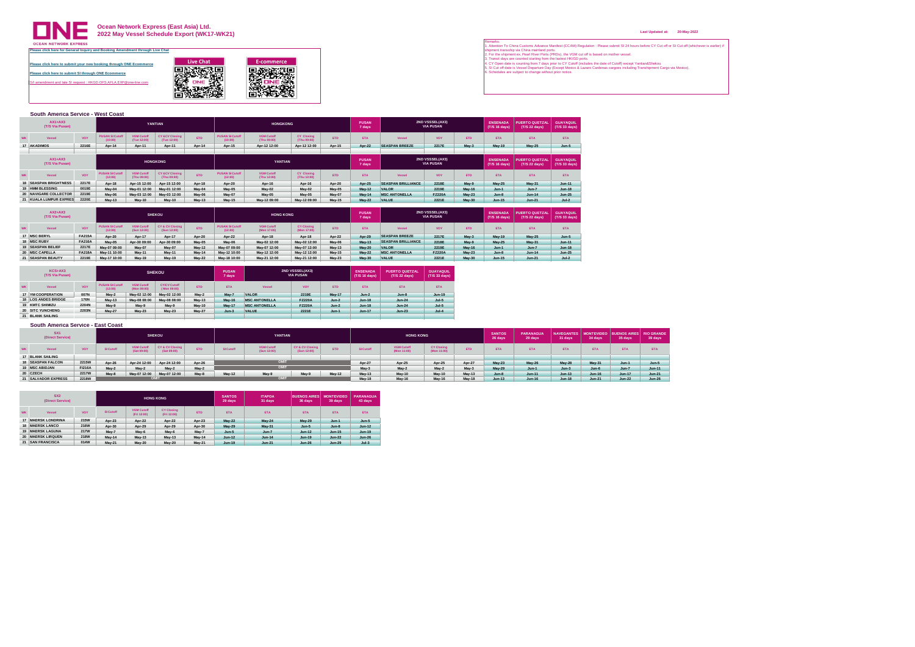

**Ocean Network Express (East Asia) Ltd. 2022 May Vessel Schedule Export (WK17-WK21)**

|           | South America Service - West Coast |       |                                   |                                  |                                          |            |                                   |                                  |                                  |               |                        |                           |                                            |               |                                  |                                        |                                   |
|-----------|------------------------------------|-------|-----------------------------------|----------------------------------|------------------------------------------|------------|-----------------------------------|----------------------------------|----------------------------------|---------------|------------------------|---------------------------|--------------------------------------------|---------------|----------------------------------|----------------------------------------|-----------------------------------|
|           | $AX1+AX3$<br>(T/S Via Pusan)       |       |                                   |                                  | <b>YANTIAN</b>                           |            |                                   | <b>HONGKONG</b>                  |                                  |               | <b>PUSAN</b><br>7 days |                           | <b>2ND VSSSEL(AX3)</b><br><b>VIA PUSAN</b> |               | <b>ENSENADA</b><br>(T/S 16 days) | <b>PUERTO QUETZAL</b><br>(T/S 22 days) | <b>GUAYAQUIL</b><br>(T/S 33 days) |
| <b>WK</b> | Vessel                             | VOY   | <b>PUSAN SI Cutoff</b><br>(10:00) | <b>VGM Cutoff</b><br>(Tue 12:00) | <b>CY &amp;CV Closing</b><br>(Tue 12:00) | <b>ETD</b> | <b>PUSAN SI Cutoff</b><br>(10:00) | <b>VGM Cutoff</b><br>(Thu 09:00) | <b>CY Closing</b><br>(Thu 09:00) | <b>ETD</b>    | <b>ETA</b>             | Vessel                    | VOY                                        | <b>ETD</b>    | <b>ETA</b>                       | <b>ETA</b>                             | <b>ETA</b>                        |
|           | 17 AKADIMOS                        | 2216E | Apr-14                            | Apr-11                           | Apr-11                                   | Apr-14     | Apr-15                            | Apr-12 12:00                     | Apr-12 12:00                     | Apr-15        | Apr-22                 | <b>SEASPAN BREEZE</b>     | 2217E                                      | $M$ av-3      | <b>May-19</b>                    | <b>May-25</b>                          | $Jun-5$                           |
|           |                                    |       |                                   |                                  |                                          |            |                                   |                                  |                                  |               |                        |                           |                                            |               |                                  |                                        |                                   |
|           | $AX1+AX3$<br>(T/S Via Pusan)       |       |                                   |                                  | <b>HONGKONG</b>                          |            |                                   | YANTIAN                          |                                  |               | <b>PUSAN</b><br>7 days |                           | <b>2ND VSSSEL(AX3)</b><br><b>VIA PUSAN</b> |               | <b>ENSENADA</b><br>(T/S 16 days) | <b>PUERTO QUETZAL</b><br>(T/S 22 days) | <b>GUAYAQUIL</b><br>(T/S 33 days) |
| <b>WK</b> | Vessel                             | VOY   | <b>PUSAN SI Cutoff</b><br>(12:00) | <b>VGM Cutoff</b><br>(Thu 09:00) | <b>CY &amp;CV Closing</b><br>(Thu 09:00) | <b>ETD</b> | <b>PUSAN SI Cutoff</b><br>(12:00) | <b>VGM Cutoff</b><br>(Thu 12:00) | <b>CY Closing</b><br>(Thu 12:00) | <b>ETD</b>    | <b>ETA</b>             | Vessel                    | VOY                                        | <b>ETD</b>    | <b>ETA</b>                       | <b>ETA</b>                             | <b>FTA</b>                        |
|           | <b>18 SEASPAN BRIGHTNESS</b>       | 2217E | Apr-18                            | Apr-15 12:00                     | Apr-15 12:00                             | Apr-18     | Apr-20                            | Apr-16                           | Apr-16                           | Apr-20        | Apr-25                 | <b>SEASPAN BRILLIANCE</b> | 2218E                                      | May-9         | <b>May-25</b>                    | May 31                                 | $Jun-11$                          |
|           | 19 HMM BLESSING                    | 0019E | May-04                            | May-01 12:00                     | May-01 12:00                             | May 04     | May 05                            | <b>May-02</b>                    | May-02                           | May-05        | May-12                 | VALOR                     | 2219E                                      | <b>May-16</b> | $Jun-1$                          | $Jun-7$                                | <b>Jun-18</b>                     |
|           | 20 NAVIGARE COLLECTOR              | 2219E | May-06                            | May-03 12:00                     | May-03 12:00                             | May-06     | May 07                            | May-05                           | May 05                           | May-07        | May-14                 | <b>MSC ANTONELLA</b>      | <b>FZ220A</b>                              | <b>May-23</b> | $Jun-8$                          | $Jun-14$                               | $Jun-25$                          |
|           | 21 KUALA LUMPUR EXPRES             | 2220E | <b>May-13</b>                     | May-10                           | May-10                                   | May 13     | <b>May 15</b>                     | May-12 09:00                     | May-12 09:00                     | <b>May-15</b> | May-22                 | <b>VALUE</b>              | 2221E                                      | <b>May-30</b> | <b>Jun-15</b>                    | $Jun-21$                               | $Jul-2$                           |

|           | $AX2+AX3$<br>(T/S Via Pusan) |               |                                   |                                  | <b>SHEKOU</b>                             |            |                                   | <b>HONG KONG</b>                 |                                  |               | <b>PUSAN</b><br>7 days |                           | <b>2ND VSSSEL(AX3)</b><br><b>VIA PUSAN</b> |               | <b>ENSENADA</b><br>(T/S 16 days) | <b>PUERTO QUETZAL</b><br>(T/S 22 days) | <b>GUAYAQUIL</b><br>(T/S 33 days) |
|-----------|------------------------------|---------------|-----------------------------------|----------------------------------|-------------------------------------------|------------|-----------------------------------|----------------------------------|----------------------------------|---------------|------------------------|---------------------------|--------------------------------------------|---------------|----------------------------------|----------------------------------------|-----------------------------------|
| <b>WK</b> | Vessel                       | <b>VOY</b>    | <b>PUSAN SI Cutoff</b><br>(12:00) | <b>VGM Cutoff</b><br>(Sun 12:00) | <b>CY &amp; CV Closing</b><br>(Sun 12:00) | <b>ETD</b> | <b>PUSAN SI Cutoff</b><br>(12:00) | <b>VGM Cutoff</b><br>(Mon 17:00) | <b>CY Closing</b><br>(Mon 17:00) | <b>ETD</b>    | <b>ETA</b>             | Vessel                    | VOY                                        | <b>ETD</b>    | <b>ETA</b>                       | <b>ETA</b>                             | <b>FTA</b>                        |
|           | 17 MSC BERYL                 | <b>FA215A</b> | Apr-20                            | Apr-17                           | Apr-17                                    | Apr-20     | Apr-22                            | Apr-18                           | Apr-18                           | Apr-22        | Apr-29                 | <b>SEASPAN BREEZE</b>     | 2217E                                      | $M$ av-3      | <b>May-19</b>                    | <b>May-25</b>                          | $Jun-5$                           |
|           | 18 MSC RUBY                  | <b>FA216A</b> | May-05                            | Apr-30 09:00                     | Apr-30 09:00                              | May-05     | May 06                            | May-02 12:00                     | May-02 12:00                     | May 06        | <b>May-13</b>          | <b>SEASPAN BRILLIANCE</b> | 2218E                                      | May-9         | <b>May-25</b>                    | <b>May 31</b>                          | <b>Jun-11</b>                     |
|           | 19 SEASPAN BELIEF            | 2217E         | May-07 09:00                      | May 07                           | May-07                                    | May-12     | May-07 09:00                      | May-07 12:00                     | May-07 12:00                     | May 13        | <b>May 20</b>          | <b>VALOR</b>              | 2219E                                      | <b>May-16</b> | $Jun-1$                          | $Jun-7$                                | <b>Jun-18</b>                     |
|           | 20 MSC CAPELLA               | <b>FA218A</b> | May-11 10:00                      | May-11                           | May-11                                    | May-14     | May-12 10:00                      | May-12 12:00                     | May-12 12:00                     | May 15        | May-22                 | <b>MSC ANTONELLA</b>      | <b>FZ220A</b>                              | <b>May-23</b> | $Jun-8$                          | $Jun-14$                               | $Jun-25$                          |
|           | 21 SEASPAN BEAUTY            | 2219E         | May-17 10:00                      | May-19                           | May-19                                    | May-22     | May-18 10:00                      | May-21 12:00                     | May-21 12:00                     | <b>May 23</b> | <b>May 30</b>          | VALUE                     | 2221E                                      | <b>May-30</b> | $Jun-15$                         | $Jun-21$                               | $Jul-2$                           |

|           | KCS+AX3<br>(T/S Via Pusan) |             |                                   |                                       | <b>SHEKOU</b>                      |            | <b>PUSAN</b><br>7 days |                      | <b>2ND VSSSEL(AX3)</b><br><b>VIA PUSAN</b> |            | <b>ENSENADA</b><br>(T/S 16 days) | <b>PUERTO QUETZAL</b><br>(T/S 22 days) | <b>GUAYAQUIL</b><br>(T/S 33 days) |
|-----------|----------------------------|-------------|-----------------------------------|---------------------------------------|------------------------------------|------------|------------------------|----------------------|--------------------------------------------|------------|----------------------------------|----------------------------------------|-----------------------------------|
| <b>WK</b> | Vessel                     | VOY         | <b>PUSAN SI Cutoff</b><br>(12:00) | <b>VGM Cutoff</b><br>(Mon 09:00)      | <b>CY/CV Cutoff</b><br>(Mon 09:00) | <b>ETD</b> | <b>ETA</b>             | Vessel               | VOY                                        | <b>FTD</b> | <b>FTA</b>                       | <b>ETA</b>                             | <b>ETA</b>                        |
|           | 17 YM COOPERATION          | 007N        | May-2                             | May-2<br>May-02 12:00<br>May-02 12:00 |                                    |            |                        | <b>VALOR</b>         | 2219E                                      | May 17     | $Jun-2$                          | $Jun-8$                                | <b>Jun-19</b>                     |
|           | 18 LOS ANDES BRIDGE        | <b>176N</b> | <b>May-13</b>                     | May-08 08:00                          | May-08 08:00                       | May-13     | <b>May-16</b>          | <b>MSC ANTONELLA</b> | <b>FZ220A</b>                              | $Jun-2$    | $Jun-18$                         | $Jun-24$                               | $Jul-5$                           |
|           | 19 KMTC SHIMIZU            | 2204N       | May-9                             | May-9                                 | May-9                              | May-10     | May-17                 | <b>MSC ANTONELLA</b> | <b>FZ220A</b>                              | $Jun-2$    | $Jun-18$                         | $Jun-24$                               | $Jul-5$                           |
|           | 2203N<br>20 SITC YUNCHENG  |             | <b>May-27</b>                     | May 23                                | <b>May-23</b>                      | May 27     | $Jun-3$                | <b>VALUE</b>         | 2221E                                      | $Jun-1$    | <b>Jun-17</b>                    | $Jun-23$                               | $Jul-4$                           |
|           | 21 BLANK SAILING           |             |                                   |                                       |                                    |            |                        |                      |                                            |            |                                  |                                        |                                   |

#### **South America Service - East Coast**

|                              | SX <sub>1</sub><br>(Direct Service)                        |                                                                                                      |        |              | <b>SHEKOU</b> |        |           | <b>YANTIAN</b>                   |                                |               |               | <b>HONG KONG</b>                 |                                  |                  | <b>SANTOS</b><br>26 days | <b>PARANAGUA</b><br>29 days | 31 days       | NAVEGANTES   MONTEVIDEO   BUENOS AIRES  <br>34 days | 35 days    | <b>RIO GRANDE</b><br>39 days |
|------------------------------|------------------------------------------------------------|------------------------------------------------------------------------------------------------------|--------|--------------|---------------|--------|-----------|----------------------------------|--------------------------------|---------------|---------------|----------------------------------|----------------------------------|------------------|--------------------------|-----------------------------|---------------|-----------------------------------------------------|------------|------------------------------|
|                              | Vessel                                                     | CY & CV Closine<br><b>VGM Cutoff</b><br>SI Cutoff<br><b>ETD</b><br>VOY<br>(Sat 09:00)<br>(Sat 09:00) |        |              |               |        | SI Cutoff | <b>VGM Cutoff</b><br>(Sun 12:00) | CY & CV Closing<br>(Sun 12:00) | <b>ETD</b>    | SI Cutoff     | <b>VGM Cutoff</b><br>(Mon 11:00) | <b>CY Closing</b><br>(Mon 11:00) | <b>ETD</b>       | <b>FTA</b>               | <b>ETA</b>                  | <b>FTA</b>    | <b>ETA</b>                                          | <b>ETA</b> | <b>ETA</b>                   |
|                              | 17 BLANK SAILING                                           |                                                                                                      |        |              |               |        |           |                                  |                                |               |               |                                  |                                  |                  |                          |                             |               |                                                     |            |                              |
|                              | 18 SEASPAN FALCON                                          | 2215W                                                                                                | Apr-26 | Apr-24 12:00 | Apr-24 12:00  | Apr-26 |           | $\bigcap_{n=1}^{\infty}$         |                                |               | Apr-27        | Apr-25                           | Apr-25                           | Apr-27           | <b>May-23</b>            | May-26                      | <b>May-28</b> | $Max-31$                                            | $Jun-1$    | $Jun-5$                      |
|                              | 19 MSC ABIDJAN                                             | <b>FI216A</b>                                                                                        | May-2  | May-2        | May-2         | May-2  |           | OMIT                             |                                |               |               | May 2                            | May-2                            | -------<br>May-3 | <b>May-29</b>            | $Jun-1$                     | $Jun-3$       | $Jun-6$                                             | $Jun-7$    | $Jun-11$                     |
|                              | 20 CZECH<br>2217W<br>May-07 12:00<br>May-07 12:00<br>May-8 |                                                                                                      |        | May-8        | May-12        | May-9  | May-9     | <b>May-12</b>                    | May <sub>3</sub><br>May-13     | <b>May-10</b> | <b>May-10</b> | <b>May-13</b>                    | $Jun-8$                          | Jun-11           | $Jun-13$                 | $Jun-16$                    | <b>Jun-17</b> | $Jun-21$                                            |            |                              |
| 2218W<br>21 SALVADOR EXPRESS |                                                            |                                                                                                      |        |              |               |        |           |                                  |                                | May-18        | <b>May-16</b> | <b>May-16</b>                    | <b>May-18</b>                    | $Jun-13$         | <b>Jun-16</b>            | <b>Jun-18</b>               | $Jun-21$      | $Jun-22$                                            | $Jun-26$   |                              |

|           | SX2<br>(Direct Service) |             |               |                                  | <b>HONG KONG</b>                 |            | <b>SANTOS</b><br>29 days | <b>ITAPOA</b><br>31 days | <b>BUENOS AIRES</b><br>36 days | <b>MONTEVIDEO</b><br>39 days | <b>PARANAGUA</b><br>43 days |
|-----------|-------------------------|-------------|---------------|----------------------------------|----------------------------------|------------|--------------------------|--------------------------|--------------------------------|------------------------------|-----------------------------|
| <b>WK</b> | Vessel                  | VOY         | SI Cutoff     | <b>VGM Cutoff</b><br>(Fri 12:00) | <b>CY Closing</b><br>(Fri 12:00) | <b>ETD</b> | <b>FTA</b>               | <b>ETA</b>               | <b>FTA</b>                     | <b>FTA</b>                   | <b>ETA</b>                  |
|           | 17 MAERSK LONDRINA      | 215W        | Apr-23        | Apr-22                           | Apr-22                           | Apr-23     | May 22                   | <b>May-24</b>            | <b>May-29</b>                  | $Jun-1$                      | $Jun-5$                     |
|           | 18 MAERSK LANCO         | 216W        | Apr-30        | Apr-29                           | Apr-29                           | Apr-30     | <b>May-29</b>            | <b>May-31</b>            | $Jun-5$                        | $Jun-8$                      | $Jun-12$                    |
|           | 19 MAERSK LAGUNA        | <b>217W</b> | May-7         | May-6                            | May-6                            | May-7      | $Jun-5$                  | $Jun-7$                  | $Jun-12$                       | <b>Jun-15</b>                | <b>Jun-19</b>               |
|           | 20 MAERSK LIRQUEN       | 218W        | May-14        | May-13                           | <b>May-13</b>                    | May 14     | $Jun-12$                 | $Jun-14$                 | <b>Jun-19</b>                  | $Jun-22$                     | <b>Jun-26</b>               |
|           | 21 SAN FRANCISCA        | 014W        | <b>May-21</b> | <b>May-20</b>                    | <b>May-20</b>                    | May 21     | Jun-19                   | $Jun-21$                 | $Jun-26$                       | <b>Jun-29</b>                | $Jul-3$                     |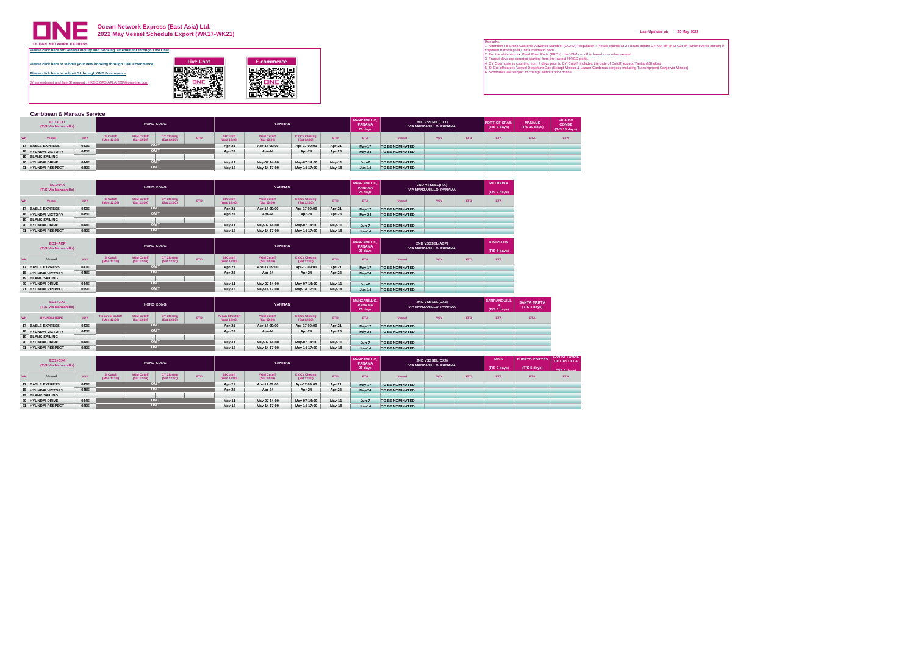

**Ocean Network Express (East Asia) Ltd. 2022 May Vessel Schedule Export (WK17-WK21)**

| <b>Caribbean &amp; Manaus Service</b>  |                                            |                          |                                                                                            |                  |  |        |                                  |                                     |            |                                         |                 |                                                  |            |                                      |                                |                                                |
|----------------------------------------|--------------------------------------------|--------------------------|--------------------------------------------------------------------------------------------|------------------|--|--------|----------------------------------|-------------------------------------|------------|-----------------------------------------|-----------------|--------------------------------------------------|------------|--------------------------------------|--------------------------------|------------------------------------------------|
| <b>EC1+CX1</b><br>(T/S Via Manzanillo) |                                            |                          |                                                                                            | <b>HONG KONG</b> |  |        | YANTIAN                          |                                     |            | <b>MANZANILLO.</b><br>PANAMA<br>26 days |                 | <b>2ND VSSSEL(CX1)</b><br>VIA MANZANILLO, PANAMA |            | <b>PORT OF SPAIN</b><br>(T/S 3 days) | <b>MANAUS</b><br>(T/S 10 days) | <b>VILADO</b><br><b>CONDE</b><br>(T/S 18 days) |
| Vessel                                 | VOY                                        | SI Cutoff<br>(Mon 12:00) | <b>VGM Cutoff</b><br><b>CY Closing</b><br><b>ETD</b><br>(Sat 12:00)<br>(Sat 12:00)<br>OMIT |                  |  |        | <b>VGM Cutoff</b><br>(Sat 12:00) | <b>CY/CV Closing</b><br>(Sat 12:00) | <b>ETD</b> | <b>ETA</b>                              | Vessel          | VOY                                              | <b>ETD</b> | <b>ETA</b>                           | <b>ETA</b>                     | <b>ETA</b>                                     |
| 17 BASLE EXPRESS                       | 043E<br>-----------                        |                          |                                                                                            |                  |  | Apr-21 | Apr-17 09:00                     | Apr-17 09:00                        | Apr-21     | May 17                                  | TO BE NOMINATED |                                                  |            |                                      |                                |                                                |
| <b>18 HYUNDAI VICTORY</b>              | 045E<br>The part of the form of the second |                          |                                                                                            | OMIT             |  | Apr-28 | Apr-24                           | Apr-24                              | Apr-28     | <b>May-24</b>                           | TO BE NOMINATED |                                                  |            |                                      |                                |                                                |
| 19 BLANK SAILING                       | <b>CARD CARD IN CARD OF AN INC.</b>        |                          |                                                                                            |                  |  |        |                                  |                                     |            |                                         |                 |                                                  |            |                                      |                                |                                                |
| 20 HYUNDAI DRIVE                       | 044E<br>the course of the course.          |                          |                                                                                            | OMIT             |  | May-11 | May-07 14:00                     | May-07 14:00                        | May 11     | $Jun-7$                                 | TO BE NOMINATED |                                                  |            |                                      |                                |                                                |
| 21 HYUNDAI RESPECT                     | 029E                                       |                          |                                                                                            | OMIT             |  | May-18 | May-14 17:00                     | May-14 17:00                        | May-18     | $Jun-14$                                | TO BE NOMINATED |                                                  |            |                                      |                                |                                                |

| EC1+PIX<br>(T/S Via Manzanillo) |                                             |                          |                                  | <b>HONG KONG</b>                 |            |                          | YANTIAN                          |                                     |            | <b>MANZANILLO.</b><br>PANAMA<br>26 days |                 | 2ND VSSSEL(PIX)<br>VIA MANZANILLO, PANAMA |            | <b>RIO HAINA</b><br>(T/S 2 days) |
|---------------------------------|---------------------------------------------|--------------------------|----------------------------------|----------------------------------|------------|--------------------------|----------------------------------|-------------------------------------|------------|-----------------------------------------|-----------------|-------------------------------------------|------------|----------------------------------|
| Vessel                          | VOY                                         | SI Cutoff<br>(Mon 12:00) | <b>VGM Cutoff</b><br>(Sat 12:00) | <b>CY Closing</b><br>(Sat 12:00) | <b>ETD</b> | SI Cutoff<br>(Wed 12:00) | <b>VGM Cutoff</b><br>(Sat 12:00) | <b>CY/CV Closing</b><br>(Sat 12:00) | <b>ETD</b> | <b>ETA</b>                              | Vessel          | <b>VOY</b>                                | <b>ETD</b> | <b>ETA</b>                       |
| 17 BASLE EXPRESS                | 043E<br><b>CONTRACTOR</b>                   |                          | OMIT                             |                                  |            | Apr-21                   | Apr-17 09:00                     | Apr-17 09:00                        | Apr-21     | <b>May 17</b>                           | TO BE NOMINATED |                                           |            |                                  |
| <b>18 HYUNDAI VICTORY</b>       | 045F<br>the second collection of the second |                          | OMIT                             |                                  |            | Apr-28                   | Apr-24                           | Apr-24                              | Apr-28     | <b>May 24</b>                           | TO BE NOMINATED |                                           |            |                                  |
| <b>19 BLANK SAILING</b>         | to the the theory of the country of the     |                          |                                  |                                  |            |                          |                                  |                                     |            |                                         |                 |                                           |            |                                  |
| 20 HYUNDAI DRIVE                | 044E<br>the course of the course of         |                          | OMIT                             |                                  |            | May-11                   | May-07 14:00                     | May-07 14:00                        | May-11     | $Jun-7$                                 | TO BE NOMINATED |                                           |            |                                  |
| 21 HYUNDAI RESPECT              | 029E                                        |                          | OMIT                             |                                  |            | May-18                   | May-14 17:00                     | May-14 17:00                        | May-18     | $Jun-14$                                | TO BE NOMINATED |                                           |            |                                  |

| EC1+ACP<br>(T/S Via Manzanillo) |                                                          |                          |                                                                                    | <b>HONG KONG</b> |  |                          | YANTIAN                          |                                     |               | <b>MANZANILLO.</b><br>PANAMA<br>26 days |                 | <b>2ND VSSSEL(ACP)</b><br>VIA MANZANILLO, PANAMA |            | <b>KINGSTON</b><br>(T/S 5 days) |
|---------------------------------|----------------------------------------------------------|--------------------------|------------------------------------------------------------------------------------|------------------|--|--------------------------|----------------------------------|-------------------------------------|---------------|-----------------------------------------|-----------------|--------------------------------------------------|------------|---------------------------------|
|                                 |                                                          |                          |                                                                                    |                  |  |                          |                                  |                                     |               |                                         |                 |                                                  |            |                                 |
| Vessel                          | VOY                                                      | SI Cutoff<br>(Mon 12:00) | <b>VGM Cutoff</b><br><b>CY Closing</b><br><b>FTD</b><br>(Sat 12:00)<br>(Sat 12:00) |                  |  | SI Cutoff<br>(Wed 12:00) | <b>VGM Cutoff</b><br>(Sat 12:00) | <b>CY/CV Closing</b><br>(Sat 12:00) | <b>ETD</b>    | <b>ETA</b>                              | Vessel          | <b>VOY</b>                                       | <b>ETD</b> | <b>ETA</b>                      |
| 17 BASLE EXPRESS                | 043E                                                     |                          | OMIT                                                                               |                  |  | Apr-21                   | Apr-17 09:00                     | Apr-17 09:00                        | Apr-21        | May-17                                  | TO BE NOMINATED |                                                  |            |                                 |
| <b>18 HYUNDAI VICTORY</b>       | the second control of the con-<br>045E<br>-------------- |                          |                                                                                    | <b>OMI</b>       |  | Apr-28                   | Apr-24                           | Apr-24                              | Apr-28        | May 24                                  | TO BE NOMINATED |                                                  |            |                                 |
| <b>19 BLANK SAILING</b>         |                                                          |                          |                                                                                    |                  |  |                          |                                  |                                     |               |                                         |                 |                                                  |            |                                 |
| 20 HYUNDAI DRIVE                | the course of the course of the<br>044E                  |                          | OMIT                                                                               |                  |  |                          | May-07 14:00                     | May-07 14:00                        | May 11        | $Jun-7$                                 | TO BE NOMINATED |                                                  |            |                                 |
| 21 HYUNDAI RESPECT              | ---------<br>029E                                        |                          |                                                                                    | OMIT             |  | <b>May-18</b>            | May-14 17:00                     | May-14 17:00                        | <b>May-18</b> | $Jun-14$                                | TO BE NOMINATED |                                                  |            |                                 |

|           | $EC1+CX3$<br>(T/S Via Manzanillo) |                                     |                                       |                                  | <b>HONG KONG</b>                 |            |                                | YANTIAN                          |                                     |            | <b>MANZANILLO.</b><br>PANAMA<br>26 days |                 | <b>2ND VSSSEL(CX3)</b><br>VIA MANZANILLO, PANAMA |            | <b>BARRANQUILL</b><br>(T/S 3 days) | <b>SANTA MARTA</b><br>(T/S 4 days) |
|-----------|-----------------------------------|-------------------------------------|---------------------------------------|----------------------------------|----------------------------------|------------|--------------------------------|----------------------------------|-------------------------------------|------------|-----------------------------------------|-----------------|--------------------------------------------------|------------|------------------------------------|------------------------------------|
| <b>WK</b> | <b>HYUNDAI HOPE</b>               | VOY                                 | <b>Pusan SI Cutoff</b><br>(Mon 12:00) | <b>VGM Cutoff</b><br>(Sat 12:00) | <b>CY Closing</b><br>(Sat 12:00) | <b>ETD</b> | Pusan SI Cutoff<br>(Wed 12:00) | <b>VGM Cutoff</b><br>(Sat 12:00) | <b>CY/CV Closing</b><br>(Sat 12:00) | <b>ETD</b> | <b>FTA</b>                              | Vessel          | <b>VOY</b>                                       | <b>ETD</b> | <b>ETA</b>                         | <b>ETA</b>                         |
|           | 17 BASLE EXPRESS                  | 043E<br>the course of the course of |                                       | <b>TIMO</b>                      |                                  |            | Apr-21                         | Apr-17 09:00                     | Apr-17 09:00                        | Apr-21     | <b>May 17</b>                           | TO BE NOMINATED |                                                  |            |                                    |                                    |
|           | <b>18 HYUNDAI VICTORY</b>         | 045E                                |                                       |                                  | <b>TIMC</b>                      |            | Apr-28                         | Apr-24                           | Apr-24                              | Apr-28     | <b>May 24</b>                           | TO BE NOMINATED |                                                  |            |                                    |                                    |
|           | <b>19 BLANK SAILING</b>           | to the team of the country and      |                                       |                                  |                                  |            |                                |                                  |                                     |            |                                         |                 |                                                  |            |                                    |                                    |
|           | 20 HYUNDAI DRIVE                  | 044E<br>the course of the course of |                                       | <b>TIMO</b>                      |                                  |            | May-11                         | May-07 14:00                     | May-07 14:00                        | May-11     | $Jun-7$                                 | TO BE NOMINATED |                                                  |            |                                    |                                    |
|           | 21 HYUNDAI RESPECT                | 029E                                |                                       |                                  |                                  |            | <b>May 18</b>                  | May-14 17:00                     | May-14 17:00                        | May-18     | $Jun-14$                                | TO BE NOMINATED |                                                  |            |                                    |                                    |

| <b>EC1+CX4</b><br>(T/S Via Manzanillo) |                                                |                          |                                  | <b>HONG KONG</b>                 |            |                          | YANTIAN                          |                                     |            | <b>MANZANILLO.</b><br>PANAMA |                 | 2ND VSSSEL(CX4)<br>VIA MANZANILLO, PANAMA |      | <b>MOIN</b>  | <b>PUERTO CORTES</b> | <b>I SANTO TOMAS</b><br><b>DE CASTILLA</b> |
|----------------------------------------|------------------------------------------------|--------------------------|----------------------------------|----------------------------------|------------|--------------------------|----------------------------------|-------------------------------------|------------|------------------------------|-----------------|-------------------------------------------|------|--------------|----------------------|--------------------------------------------|
|                                        |                                                |                          |                                  |                                  |            |                          |                                  |                                     |            | 26 days                      |                 |                                           |      | (T/S 2 days) | (T/S 5 days)         | (T/S 6 days)                               |
| Vessel                                 | <b>VOY</b>                                     | SI Cutoff<br>(Mon 12:00) | <b>VGM Cutoff</b><br>(Sat 12:00) | <b>CY Closing</b><br>(Sat 12:00) | <b>ETD</b> | SI Cutoff<br>(Wed 12:00) | <b>VGM Cutoff</b><br>(Sat 12:00) | <b>CY/CV Closing</b><br>(Sat 12:00) | <b>ETD</b> | <b>ETA</b>                   | Vessel          | <b>VOY</b>                                | ETD. | <b>ETA</b>   | <b>ETA</b>           | <b>ETA</b>                                 |
| 17 BASLE EXPRESS                       | 043E<br>the course of the course of the course |                          |                                  | OMIT                             |            | Apr-21                   | Apr-17 09:00                     | Apr-17 09:00                        | Apr-21     | <b>May-17</b>                | TO BE NOMINATED |                                           |      |              |                      |                                            |
| <b>18 HYUNDAI VICTORY</b>              | 045E<br>the state and the state and the state  |                          |                                  | OMIT                             |            | Apr-28                   | Apr-24                           | Apr-24                              | Apr-28     | <b>May 24</b>                | TO BE NOMINATED |                                           |      |              |                      |                                            |
| <b>19 BLANK SAILING</b>                | ------------                                   |                          |                                  |                                  |            |                          |                                  |                                     |            |                              |                 |                                           |      |              |                      |                                            |
| 20 HYUNDAI DRIVE                       | 044E<br>of the way to the way                  |                          |                                  | OMIT                             |            | <b>May 11</b>            | May-07 14:00                     | May-07 14:00                        | May-11     | $Jun-7$                      | TO BE NOMINATED |                                           |      |              |                      |                                            |
| 21 HYUNDAI RESPECT                     | 029E                                           |                          |                                  | OMIT                             |            | May-18                   | May-14 17:00                     | May-14 17:00                        | May-18     | $Jun-14$                     | TO BE NOMINATED |                                           |      |              |                      |                                            |

#### **Last Updated at: 20-May-2022**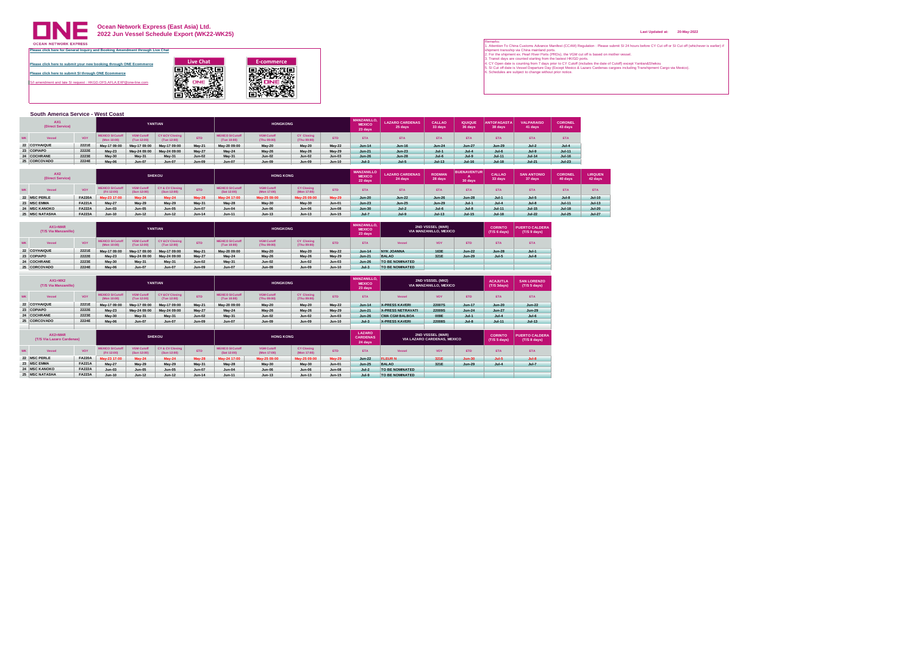

**Ocean Network Express (East Asia) Ltd. 2022 Jun Vessel Schedule Export (WK22-WK25)**

| ase click here to submit your new booking through ONE Ecommerce | <b>Live Chat</b> | E-commerce |
|-----------------------------------------------------------------|------------------|------------|
| ase click here to submit SI through ONE Ecommerce               |                  |            |
| amendment and late SI request : HKGD.OFS.AFLA.EXP@one-line.com  |                  |            |
|                                                                 |                  |            |

|           | South America Service - West Coast                                                                                                                           |       |              |               |               |               |                                        |                                  |                                  |            |                                                |                                   |                          |                           |                               |                              |                           |
|-----------|--------------------------------------------------------------------------------------------------------------------------------------------------------------|-------|--------------|---------------|---------------|---------------|----------------------------------------|----------------------------------|----------------------------------|------------|------------------------------------------------|-----------------------------------|--------------------------|---------------------------|-------------------------------|------------------------------|---------------------------|
|           | AX <sub>1</sub><br>(Direct Service)                                                                                                                          |       |              |               | YANTIAN       |               |                                        | <b>HONGKONG</b>                  |                                  |            | <b>MANZANILLO.</b><br><b>MEXICO</b><br>23 days | <b>LAZARO CARDENAS</b><br>25 days | <b>CALLAO</b><br>33 days | <b>IQUIQUE</b><br>36 days | <b>ANTOFAGASTA</b><br>38 days | <b>VALPARAISO</b><br>41 days | <b>CORONEL</b><br>43 days |
| <b>WK</b> | <b>CY &amp;CV Closing</b><br><b>VGM Cutoff</b><br><b>MEXICO SI Cutoff</b><br><b>ETD</b><br><b>VOY</b><br>Vessel<br>(Tue 12:00)<br>(Tue 12:00)<br>(Mon 10:00) |       |              |               |               |               | <b>MEXICO SI Cutoff</b><br>(Tue 10:00) | <b>VGM Cutoff</b><br>(Thu 09:00) | <b>CY Closing</b><br>(Thu 09:00) | <b>FTD</b> | <b>ETA</b>                                     | <b>ETA</b>                        | <b>FTA</b>               | <b>FTA</b>                | <b>ETA</b>                    | <b>FTA</b>                   | <b>ETA</b>                |
|           | 22 COYHAIQUE                                                                                                                                                 | 2221E | May-17 09:00 | May-17 09:00  | May-17 09:00  | May 21        | May-20 09:00                           | <b>May-20</b>                    | May 20                           | May 22     | $Jun-14$                                       | Jun-16                            | $Jun-24$                 | Jun-27                    | Jun-29                        | $Jul - 2$                    | $Jul-4$                   |
|           | 23 COPIAPO<br>2222E<br>May-24 09:00<br>May-23<br>May-24 09:00<br><b>May 27</b>                                                                               |       |              |               |               |               | May 24                                 | <b>May-26</b>                    | May 26                           | May 29     | $Jun-21$                                       | $Jun-23$                          | $Jul-1$                  | $Jul-4$                   | $Jul-6$                       | $Jul-9$                      | $Jul-11$                  |
|           | 24 COCHRANE                                                                                                                                                  | 2223E | May-30       | May 31        | May-31        | Jun-02        | May 31                                 | <b>Jun-02</b>                    | <b>Jun-02</b>                    | $Jun-03$   | <b>Jun-26</b>                                  | <b>Jun-28</b>                     | $Jul-6$                  | $Jul-9$                   | $Jul-11$                      | $Jul-14$                     | $Jul-16$                  |
|           | 25 CORCOVADO                                                                                                                                                 | 2224E | May-06       | <b>Jun-07</b> | <b>Jun-07</b> | <b>Jun-09</b> | <b>Jun-07</b>                          | <b>Jun-09</b>                    | <b>Jun-09</b>                    | $Jun-10$   | $Jul-3$                                        | $Jul-5$                           | $Jul-13$                 | $Jul-16$                  | $Jul-18$                      | $Jul-21$                     | $Jul-23$                  |

| AX <sub>2</sub><br>(Direct Service) |               |                                       |                                  | <b>SHEKOU</b>                             |               |                                        | <b>HONG KONG</b>                 |                                  |                                               | <b>MANZANILLO</b><br><b>MEXICO</b><br>22 days | <b>LAZARO CARDENAS</b><br>24 days | <b>RODMAN</b><br>28 days | <b>BUENAVENTUR</b><br>30 days | CALLAO<br>33 days | <b>SAN ANTONIO</b><br>37 days | <b>CORONEL</b><br>40 days | <b>LIRQUEN</b><br>42 days |
|-------------------------------------|---------------|---------------------------------------|----------------------------------|-------------------------------------------|---------------|----------------------------------------|----------------------------------|----------------------------------|-----------------------------------------------|-----------------------------------------------|-----------------------------------|--------------------------|-------------------------------|-------------------|-------------------------------|---------------------------|---------------------------|
| Vessel                              | VOY           | <b>IEXICO SI Cutof</b><br>(Fri 12:00) | <b>VGM Cutoff</b><br>(Sun 12:00) | <b>CY &amp; CV Closing</b><br>(Sun 12:00) | <b>ETD</b>    | <b>MEXICO SI Cutoff</b><br>(Sat 12:00) | <b>VGM Cutoff</b><br>(Mon 17:00) | <b>CY Closing</b><br>(Mon 17:00) | <b>ETD</b>                                    | ETA:                                          | <b>ETA</b>                        | <b>ETA</b>               | <b>ETA</b>                    | <b>ETA</b>        | <b>ETA</b>                    |                           | <b>FTA</b>                |
| 22 MSC PERLE                        | <b>FA220A</b> | av-23 17:00                           | Aav-24                           | <b>May-24</b>                             | <b>May-28</b> | av-24 17:00                            | av-25 09:00                      | May-25 09:00                     | <b>May-29</b>                                 | <b>Jun-20</b>                                 | $Jun-22$                          | Jun-26                   | $Jun-28$                      | $Jul-1$           | $Jul-5$                       | $Jul-8$                   | $Jul-10$                  |
| 23 MSC EMMA                         | <b>FA221A</b> | <b>May-27</b>                         | May 29                           | May-29                                    | May-31        | May-28                                 | May-30                           | <b>May 30</b>                    | $Jun-0†$<br>the sea of the sea of the sea was | $Jun-23$                                      | <b>Jun-25</b>                     | Jun-29                   | $Jul-1$                       | $Jul-4$           | $Jul - 8$                     | $Jul-11$                  | $Jul-13$                  |
| <b>24 MSC KANOKO</b>                | <b>FA222A</b> | $Jun-03$                              | <b>Jun-05</b>                    | <b>Jun-05</b>                             | <b>Jun-07</b> | Jun-04                                 | <b>Jun-06</b>                    | <b>Jun-06</b>                    | <b>Jun-08</b>                                 | <b>Jun-30</b>                                 | $Jul-2$                           | $Jul-6$                  | $Jul-8$                       | $Jul-11$          | <b>Jul-15</b>                 | <b>Jul-18</b>             | $Jul-20$                  |
| <b>25 MSC NATASHA</b>               | <b>FA223A</b> | $Jun-10$                              | $Jun-12$                         | $Jun-12$                                  | $Jun-14$      | $Jun-11$                               | $Jun-13$                         | $Jun-13$                         | Jun-15                                        | $Jul-7$                                       | $Jul-9$                           | $Jul-13$                 | $Jul-15$                      | $Jul-18$          | $Jul-22$                      | $Jul-25$                  | $Jul-27$                  |

| $AX1+MAP$<br>(T/S Via Manzanillo) |       |                                               |                                  | YANTIAN                                  |               |                                        | <b>HONGKONG</b>                  |                                  |            | <b>MANZANILLO.</b><br><b>MEXICO</b><br>23 days |                 | 2ND VSSSEL (MAR)<br>VIA MANZANILLO, MEXICO |               | CORINTO<br>(T/S 6 days) | <b>PUERTO CALDERA</b><br>(T/S 9 days) |
|-----------------------------------|-------|-----------------------------------------------|----------------------------------|------------------------------------------|---------------|----------------------------------------|----------------------------------|----------------------------------|------------|------------------------------------------------|-----------------|--------------------------------------------|---------------|-------------------------|---------------------------------------|
| Vessel                            | VOY   | <b><i>AEXICO SI Cutoff</i></b><br>(Mon 10:00) | <b>VGM Cutoff</b><br>(Tue 12:00) | <b>CY &amp;CV Closing</b><br>(Tue 12:00) | <b>ETD</b>    | <b>MEXICO SI Cutoff</b><br>(Tue 10:00) | <b>VGM Cutoff</b><br>(Thu 09:00) | <b>CY Closing</b><br>(Thu 09:00) | <b>ETD</b> | <b>ETA</b>                                     | Vessel          | <b>VOY</b>                                 | <b>ETD</b>    | <b>ETA</b>              | <b>ETA</b>                            |
| 22 COYHAIQUE                      | 2221E | May-17 09:00                                  | May-17 09:00                     | May-17 09:00                             | May 21        | May-20 09:00                           | <b>May-20</b>                    | <b>May 20</b>                    | May 22     | $Jun-14$                                       | NYK JOANNA      | 163E                                       | $Jun-22$      | <b>Jun-28</b>           | $Jul-1$                               |
| 23 COPIAPO                        | 2222E | May-23                                        | May-24 09:00                     | May-24 09:00                             | May 27        | <b>May 24</b>                          | <b>May-26</b>                    | May 26                           | May 29     | $Jun-21$                                       | <b>BALAO</b>    | 321E                                       | <b>Jun-29</b> | $Jul-5$                 | $Jul - 8$                             |
| 24 COCHRANE                       | 2223E | May-30                                        | May 31                           | May-31                                   | <b>Jun-02</b> | May 31                                 | $Jun-02$                         | <b>Jun-02</b>                    | $Jun-03$   | $Jun-26$                                       | TO BE NOMINATED |                                            |               |                         |                                       |
| 25 CORCOVADO                      | 2224E | May-06                                        | <b>Jun-07</b>                    | Jun-07                                   | Jun-09        | Jun-07                                 | <b>Jun-09</b>                    | Jun-09                           | $Jun-10$   | $Jul-3$                                        | TO BE NOMINATED |                                            |               |                         |                                       |

| $AX1+MX2$<br>(T/S Via Manzanillo)      |                            |                                         |                                  | YANTIAN                                   |                                                |                                        | <b>HONGKONG</b>                  |                                          |               | <b>MANZANILLO</b><br><b>MEXICO</b><br>23 days |                          | 2ND VSSSEL (MX2)<br>VIA MANZANILLO, MEXICO      |               | <b>ACAJUTLA</b><br>(T/S 3days) | <b>SAN LORENZO</b><br>(T/S 5 days)    |
|----------------------------------------|----------------------------|-----------------------------------------|----------------------------------|-------------------------------------------|------------------------------------------------|----------------------------------------|----------------------------------|------------------------------------------|---------------|-----------------------------------------------|--------------------------|-------------------------------------------------|---------------|--------------------------------|---------------------------------------|
| Vessel                                 | VOY                        | <b>MEXICO SI Cutoff</b><br>(Mon 10:00)  | <b>VGM Cutoff</b><br>(Tue 12:00) | <b>CY &amp;CV Closing</b><br>(Tue 12:00)  | <b>ETD</b>                                     | <b>MEXICO SI Cutoff</b><br>(Tue 10:00) | <b>VGM Cutoff</b><br>(Thu 09:00) | CY Closing<br>(Thu 09:00)                | <b>ETD</b>    | <b>ETA</b>                                    | Vessel                   | <b>VOY</b>                                      | <b>ETD</b>    | <b>ETA</b>                     | ETA                                   |
| 22 COYHAIQUE                           | 2221E                      | May-17 09:00                            | May-17 09:00                     | May-17 09:00                              | May 21                                         | May-20 09:00                           | <b>May-20</b>                    | May-20                                   | <b>May-22</b> | $Jun-14$                                      | <b>X-PRESS KAVERI</b>    | 22007S                                          | Jun-17        | <b>Jun-20</b>                  | $Jun-22$                              |
| 23 COPIAPO                             | 2222E                      | <b>May-23</b>                           | May-24 09:00                     | May-24 09:00                              | <b>May-27</b>                                  | <b>May 24</b>                          | <b>May-26</b>                    | May-26                                   | May-29        | $Jun-21$                                      | <b>X-PRESS NETRAVATI</b> | <b>22009S</b>                                   | $Jun-24$      | <b>Jun-27</b>                  | $Jun-29$                              |
| 24 COCHRANE                            | 2223E<br><b>CONTRACTOR</b> | <b>May-30</b>                           | May-31                           | May-31                                    | $Jun-02$                                       | May-31                                 | <b>Jun-02</b>                    | $Jun-02$                                 | $Jun-03$      | $Jun-26$                                      | <b>CMA CGM BALBOA</b>    | 009E                                            | $Jul-1$       | $Jul-4$                        | $Jul-6$                               |
| 25 CORCOVADO                           | 2224E                      | May-06                                  | <b>Jun-07</b>                    | Jun-07                                    | Jun-09                                         | Jun-07                                 | <b>Jun-09</b>                    | $Jun-09$                                 | $Jun-10$      | $Jul-3$                                       | <b>X-PRESS KAVERI</b>    | <b>22008S</b>                                   | $Jul-8$       | $Jul-11$                       | $Jul-13$                              |
|                                        |                            |                                         |                                  |                                           |                                                |                                        |                                  |                                          |               |                                               |                          |                                                 |               |                                |                                       |
|                                        |                            |                                         |                                  |                                           |                                                |                                        |                                  |                                          |               |                                               |                          |                                                 |               |                                |                                       |
| $AX2+MAP$<br>(T/S Via Lazaro Cardenas) |                            |                                         |                                  | <b>SHEKOU</b>                             |                                                |                                        | <b>HONG KONG</b>                 |                                          |               | LAZARO<br><b>CARDENAS</b><br>24 days          |                          | 2ND VSSSEL (MAR)<br>VIA LAZARO CARDENAS, MEXICO |               | <b>CORINTO</b><br>(T/S 5 days) | <b>PUERTO CALDERA</b><br>(T/S 8 days) |
| Vessel                                 | VOY                        | <b>IEXICO SI Cutoff</b><br>(Fri 12:00)  | <b>VGM Cutoff</b><br>(Sun 12:00) | <b>CY &amp; CV Closing</b><br>(Sun 12:00) | <b>FTD</b>                                     | <b>MEXICO SI Cutoff</b><br>(Sat 12:00) | <b>VGM Cutoff</b><br>(Mon 17:00) | <b>CY Closing</b><br>(Mon 17:00)         | <b>FTD</b>    | <b>FTA</b>                                    | Vessel                   | VOY                                             | <b>ETD</b>    | <b>ETA</b>                     | ETA                                   |
| 22 MSC PERLE                           | <b>FA220A</b>              | May-23 17:00                            | <b>May-24</b>                    | <b>May-24</b>                             | <b>May-28</b>                                  | May-24 17:00                           | May-25 09:00                     | May-25 09:00                             | <b>May-29</b> | $Jun-22$                                      | <b>FLEUR N</b>           | 321E                                            | <b>Jun-30</b> | $Jul-5$                        | $Jul - 8$                             |
| 23 MSC EMMA                            | <b>FA221A</b>              |                                         |                                  |                                           |                                                | May-28                                 |                                  |                                          | $Jun-01$      | $Jun-25$                                      | <b>BALAO</b>             | 321E                                            | <b>Jun-29</b> | $Jul-4$                        | $Jul-7$                               |
| 24 IMSC KANOKO                         | <b>FA222A</b>              | <b>May 27</b><br>$Jun-03$<br>---------- | May 29<br>$Jun-05$<br>---------- | <b>May-29</b><br>Jun-05<br>---------      | <b>May 31</b><br><b>Jun-07</b><br>------------ | $Jun-04$                               | <b>May-30</b><br>$J$ un-06       | <b>May-30</b><br>Jun-06<br>------------- | <b>Jun-08</b> | $Jul-2$                                       | TO BE NOMINATED          |                                                 |               |                                |                                       |

Remarks: - To Chrono Customs Advance Manistat (CCAM) Regulation : Please submit SI 24 hours before CY Cut off or SI Cut off (whichever is earlier) if<br>- In the method in the Counter of the Counter of the Counter of the Six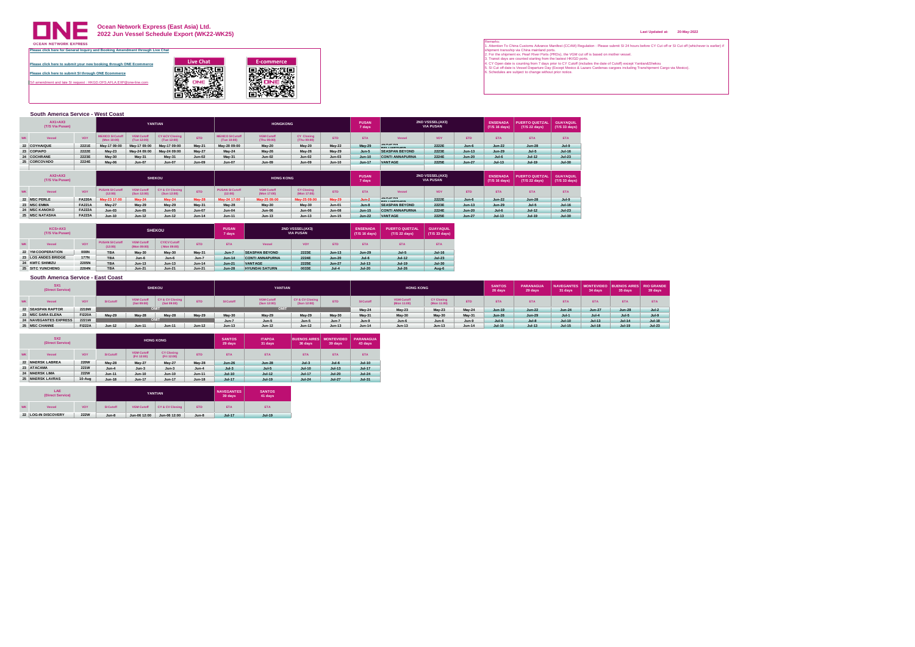

# **Ocean Network Express (East Asia) Ltd. 2022 Jun Vessel Schedule Export (WK22-WK25)**

**[Please click here to submit your new booking through ONE Ecommerce](https://hk.one-line.com/ecommerce-applications) Please click here to submit SI through ONE Ecommerce** S/I amendment and late SI request : HKGD.OFS.AFLA.EXP@one-line.com Live Chat<br> **Expansion of Excommerce**<br> **E-commerce**<br> **E-commerce**<br> **E-commerce**<br> **E-commerce**<br> **E-commerce**<br> **E-commerce**<br> **E-commerce**<br> **E-commerce**<br> **E-commerce**<br>
<br> **E-commerce** 

|       | South America Service - West Coast |                                    |                                        |                                  |                                           |                               |                                        |                                  |                                  |                                    |                        |                                      |                                     |               |                                  |                                        |                                   |
|-------|------------------------------------|------------------------------------|----------------------------------------|----------------------------------|-------------------------------------------|-------------------------------|----------------------------------------|----------------------------------|----------------------------------|------------------------------------|------------------------|--------------------------------------|-------------------------------------|---------------|----------------------------------|----------------------------------------|-----------------------------------|
|       | $AX1+AX3$<br>(T/S Via Pusan)       |                                    |                                        |                                  | YANTIAN                                   |                               |                                        | <b>HONGKONG</b>                  |                                  |                                    | <b>PUSAN</b><br>7 days |                                      | 2ND VSSSEL(AX3)<br><b>VIA PUSAN</b> |               | <b>ENSENADA</b><br>(T/S 16 days) | <b>PUERTO QUETZAI</b><br>(T/S 22 days) | <b>GUAYAQUIL</b><br>(T/S 33 days) |
|       | Vessel                             | VOY                                | <b>MEXICO SI Cutoff</b><br>(Mon 10:00) | <b>VGM Cutoff</b><br>(Tue 12:00) | <b>CY &amp;CV Closing</b><br>(Tue 12:00)  | <b>ETD</b>                    | <b>MEXICO SI Cutoff</b><br>(Tue 10:00) | <b>VGM Cutoff</b><br>(Thu 09:00) | <b>CY Closing</b><br>(Thu 09:00) | ETD.                               | <b>ETA</b>             | Vessel                               | VOY                                 | <b>ETD</b>    | <b>ETA</b>                       | <b>ETA</b>                             | <b>ETA</b>                        |
|       | 22 COYHAIQUE                       | 2221E                              | May-17 09:00                           | May-17 09:00                     | May-17 09:00                              | May-21                        | May-20 09:00                           | <b>May-20</b>                    | May-20                           | May-22                             | May-29                 | <b>SEASPAN</b><br><b>DELLIMENTED</b> | 2222E                               | $Jun-6$       | $Jun-22$                         | <b>Jun-28</b>                          | $Jul-9$                           |
|       | 23 COPIAPO                         | 2222E                              | <b>May-23</b>                          | May-24 09:00                     | May-24 09:00                              | May-27                        | <b>May 24</b>                          | <b>May-26</b>                    | May-26                           | May-29                             | $Jun-5$                | <b>SEASPAN BEYOND</b>                | 2223E                               | $Jun-13$      | $Jun-29$                         | $Jul-5$                                | $Jul-16$                          |
| 24    | COCHRANE                           | 2223E<br><b>CONTRACTOR</b>         | <b>May-30</b>                          | May 31                           | May-31                                    | $Jun-02$<br><b>CONTRACTOR</b> | May 31                                 | $Jun-02$                         | $Jun-02$<br><u>.</u>             | $Jun-03$<br>.                      | Jun-10                 | <b>CONTI ANNAPURNA</b>               | 2224E                               | <b>Jun-20</b> | $Jul-6$                          | $Jul-12$                               | $Jul-23$                          |
|       | 25 CORCOVADO                       | 2224E                              | May-06                                 | <b>Jun-07</b>                    | Jun-07                                    | <b>Jun-09</b>                 | $Jun-07$                               | Jun-09                           | <b>Jun-09</b><br>____            | $Jun-10$                           | Jun-17                 | VANTAGE                              | 2225E                               | Jun-27        | $Jul-13$                         | Jul-19                                 | $Jul-30$                          |
|       |                                    |                                    |                                        |                                  |                                           |                               |                                        |                                  |                                  |                                    |                        |                                      |                                     |               |                                  |                                        |                                   |
|       | $AX2+AX3$<br>(T/S Via Pusan)       |                                    |                                        |                                  | <b>SHEKOU</b>                             |                               |                                        | <b>HONG KONG</b>                 |                                  |                                    | <b>PUSAN</b><br>7 days |                                      | 2ND VSSSEL(AX3)<br><b>VIA PUSAN</b> |               | <b>ENSENADA</b><br>(T/S 16 days) | <b>PUERTO QUETZAL</b><br>(T/S 22 days) | <b>GUAYAQUIL</b><br>(T/S 33 days) |
|       | Vessel                             | VOY                                | <b>PUSAN SI Cutoff</b><br>(12:00)      | <b>VGM Cutoff</b><br>(Sun 12:00) | <b>CY &amp; CV Closing</b><br>(Sun 12:00) | <b>ETD</b>                    | <b>PUSAN SI Cutoff</b><br>(12:00)      | <b>VGM Cutoff</b><br>(Mon 17:00) | <b>CY Closing</b><br>(Mon 17:00) | <b>ETD</b>                         | <b>ETA</b>             | Vessel                               | VOY                                 | <b>ETD</b>    | <b>ETA</b>                       | <b>ETA</b>                             | <b>ETA</b>                        |
| 22    | <b>MSC PERLE</b>                   | <b>FA220A</b><br><b>CONTRACTOR</b> | May-23 17:00                           | <b>May-24</b>                    | <b>May-24</b>                             | May-28                        | May-24 17:00                           | May-25 09:00                     | May-25 09:00                     | <b>May-29</b>                      | $Jun-2$                | <b>SEASPAN</b><br><b>DELIMITYUED</b> | 2222E                               | $Jun-6$       | $Jun-22$                         | <b>Jun-28</b>                          | $Jul-9$                           |
|       | 23 MSC EMMA                        | <b>FA221A</b>                      | <b>May-27</b>                          | May 29                           | <b>May-29</b>                             | May-31                        | May-28                                 | <b>May-30</b>                    | <b>May-30</b>                    | $Jun-01$<br><b>CAR AT AN AT AN</b> | $Jun-8$                | <b>SEASPAN BEYOND</b>                | 2223E                               | $Jun-13$      | $Jun-29$                         | $Jul - 5$                              | <b>Jul-16</b>                     |
| _____ | <b>MSC KANOKO</b>                  | <b>FA222A</b>                      | $Jun-03$                               | <b>Jun-05</b>                    | <b>Jun-05</b>                             | Jun-07                        | Jun-04                                 | <b>Jun-06</b>                    | <b>Jun-06</b>                    | <b>Jun-08</b>                      | $Jun-15$               | <b>CONTI ANNAPURNA</b>               | 2224E                               | <b>Jun-20</b> | $Jul-6$                          | $Jul-12$                               | $Jul-23$                          |
| 25    | <b>MSC NATASHA</b>                 | <b>FA223A</b>                      | $Jun-10$                               | $Jun-12$                         | $Jun-12$                                  | $Jun-14$                      | $Jun-11$                               | $Jun-13$                         | $Jun-13$                         | $Jun-15$                           | $Jun-22$               | VANTAGE                              | 2225E                               | <b>Jun-27</b> | $Jul-13$                         | Jul-19                                 | $Jul-30$                          |

|           | KCS+AX3<br>(T/S Via Pusan) |             |                                   |                                  | <b>SHEKOU</b>                      |            | <b>PUSAN</b><br>7 days |                        | <b>2ND VSSSEL(AX3)</b><br><b>VIA PUSAN</b> |               | <b>ENSENADA</b><br>(T/S 16 days) | <b>PUERTO QUETZAL</b><br>(T/S 22 days) | <b>GUAYAQUIL</b><br>(T/S 33 days) |
|-----------|----------------------------|-------------|-----------------------------------|----------------------------------|------------------------------------|------------|------------------------|------------------------|--------------------------------------------|---------------|----------------------------------|----------------------------------------|-----------------------------------|
| <b>WK</b> | Vessel                     | VOY         | <b>PUSAN SI Cutoff</b><br>(12:00) | <b>VGM Cutoff</b><br>(Mon 09:00) | <b>CY/CV Cutoff</b><br>(Mon 09:00) | <b>FTD</b> | <b>ETA</b>             | Vessel                 | <b>VOY</b>                                 | <b>FTD</b>    | <b>FTA</b>                       | <b>ETA</b>                             | <b>ETA</b>                        |
|           | 22 YM COOPERATION          | 008N        | <b>TBA</b>                        | May 30                           | <b>May-30</b>                      | May 31     | $Jun-7$                | <b>SEASPAN BEYOND</b>  | 2223E                                      | $Jun-13$      | <b>Jun-29</b>                    | $Jul-5$                                | <b>Jul-16</b>                     |
|           | 23 LOS ANDES BRIDGE        | <b>177N</b> | <b>TBA</b>                        | $Jun-6$                          | $Jun-6$                            | $Jun-7$    | $Jun-14$               | <b>CONTI ANNAPURNA</b> | 2224E                                      | <b>Jun-20</b> | $Jul-6$                          | $Jul-12$                               | $Jul-23$                          |
|           | 24 KMTC SHIMIZU            | 2205N       | <b>TBA</b>                        | $Jun-13$                         | $Jun-13$                           | $Jun-14$   | $Jun-21$               | VANTAGE                | 2225E                                      | <b>Jun-27</b> | $Jul-13$                         | <b>Jul-19</b>                          | $Jul-30$                          |
|           | 25 SITC YUNCHENG           | 2204N       | <b>TBA</b>                        | $Jun-21$                         | $Jun-21$                           | $Jun-21$   | <b>Jun-28</b>          | <b>HYUNDAI SATURN</b>  | 0033E                                      | $Jul-4$       | <b>Jul-20</b>                    | <b>Jul-26</b>                          | Aug-6                             |

### **South America Service - East Coast**

| SX <sub>1</sub><br>(Direct Service) |               |               |                                  | <b>SHEKOU</b>                  |            |           | YANTIAN                          |                                |            |           | <b>HONG KONG</b>                 |                                  |               | <b>SANTOS</b><br>26 days | PARANAGUA<br>29 days | 31 days    | 34 days       | NAVEGANTES   MONTEVIDEO BUENOS AIRES   RIO GRANDE<br>35 days | 39 days  |
|-------------------------------------|---------------|---------------|----------------------------------|--------------------------------|------------|-----------|----------------------------------|--------------------------------|------------|-----------|----------------------------------|----------------------------------|---------------|--------------------------|----------------------|------------|---------------|--------------------------------------------------------------|----------|
| Vessel                              | VOY           | SI Cutoff     | <b>VGM Cutoff</b><br>(Sat 09:00) | CY & CV Closing<br>(Sat 09:00) | <b>ETD</b> | SI Cutoff | <b>VGM Cutoff</b><br>(Sun 12:00) | CY & CV Closing<br>(Sun 12:00) | <b>ETD</b> | SI Cutoff | <b>VGM Cutoff</b><br>(Mon 11:00) | <b>CY Closing</b><br>(Mon 11:00) | ETD           | <b>ETA</b>               | <b>FTA</b>           | <b>ETA</b> | <b>ETA</b>    | <b>ETA</b>                                                   |          |
| 22 SEASPAN RAPTOR                   | 2219W         |               |                                  |                                |            |           | <b>TIMO</b>                      |                                |            | May-24    | <b>May-23</b>                    | <b>May-23</b>                    | <b>May-24</b> | Jun-19                   | $Jun-22$             | $Jun-24$   | <b>Jun-27</b> | <b>Jun-28</b>                                                | $Jul-2$  |
| 23 MSC SARA ELENA                   | <b>FI220A</b> | <b>May-29</b> | May 28                           | <b>May-28</b>                  | May-29     | May 30    | May-29                           | May 29                         | May 30     | May-31    | <b>May-30</b>                    | May-30                           | <b>May-31</b> | Jun-26                   | $Jun-29$             | $Jul-1$    | $Jul-4$       | $Jul-5$                                                      | $Jul-9$  |
| 24 NAVEGANTES EXPRESS               | 2221W         |               |                                  |                                |            | $Jun-7$   | $Jun-5$                          | $lum-5$                        | $Jun-7$    | $Jun-9$   | $Jun-6$                          | $Jun-6$                          | Jun-9         | $Jul-5$                  | 1.10                 | Jul-10     | $Jul-13$      | $Jul-14$                                                     | $Jul-18$ |
| 25 MSC CHANNE                       | <b>FI222A</b> | $Jun-12$      | $Jun-11$                         | $Jun-11$                       | $Jun-12$   | $Jun-13$  | $Jun-12$                         | $Jun-12$                       | $Jun-13$   | $Jun-14$  | $Jun-13$                         | $Jun-13$                         | $Jun-14$      | $Jul-10$                 | $Jul-13$             | $Jul-15$   | $Jul-18$      | <b>Jul-19</b>                                                | $Jul-23$ |

|           | SX2<br>(Direct Service) |             |               |                                  | <b>HONG KONG</b>                 |               | <b>SANTOS</b><br>29 days | <b>ITAPOA</b><br>31 days | <b>BUENOS AIRES</b><br>36 days | <b>MONTEVIDEO</b><br>39 days | <b>PARANAGUA</b><br>43 days |
|-----------|-------------------------|-------------|---------------|----------------------------------|----------------------------------|---------------|--------------------------|--------------------------|--------------------------------|------------------------------|-----------------------------|
| <b>WK</b> | Vessel                  | VOY         | SI Cutoff     | <b>VGM Cutoff</b><br>(Fri 12:00) | <b>CY Closing</b><br>(Fri 12:00) | <b>ETD</b>    | <b>ETA</b>               | <b>ETA</b>               | <b>FTA</b>                     | <b>ETA</b>                   | <b>ETA</b>                  |
|           | 22 MAERSK LABREA        | <b>220W</b> | <b>May-28</b> | <b>May 27</b>                    | <b>May-27</b>                    | May-28        | $Jun-26$                 | <b>Jun-28</b>            | $Jul-3$                        | $Jul-6$                      | <b>Jul-10</b>               |
|           | 23 ATACAMA              | <b>221W</b> | $Jun-4$       | $Jun-3$                          | $Jun-3$                          | $Jun-4$       | $Jul-3$                  | $Jul-5$                  | <b>Jul-10</b>                  | $Jul-13$                     | <b>Jul-17</b>               |
|           | 24 MAERSK LIMA          | <b>222W</b> | $Jun-11$      | $Jun-10$                         | Jun-10                           | $Jun-11$      | $Jul-10$                 | $Jul-12$                 | <b>Jul-17</b>                  | <b>Jul-20</b>                | $Jul-24$                    |
|           | 25 MAERSK LAVRAS        | 10-Aug      | <b>Jun-18</b> | Jun-17                           | Jun-17                           | <b>Jun-18</b> | <b>Jul-17</b>            | <b>Jul-19</b>            | $Jul-24$                       | <b>Jul-27</b>                | <b>Jul-31</b>               |

|           | LAE<br>(Direct Service) |             |           | <b>YANTIAN</b>    | <b>NAVEGANTES</b><br>39 days | <b>SANTOS</b><br>41 days |               |               |
|-----------|-------------------------|-------------|-----------|-------------------|------------------------------|--------------------------|---------------|---------------|
| <b>WK</b> | Vessel                  | <b>VOY</b>  | SI Cutoff | <b>VGM Cutoff</b> | <b>CY &amp; CV Closing</b>   | <b>ETD</b>               | <b>ETA</b>    | <b>ETA</b>    |
|           | 22 LOG-IN DISCOVERY     | <b>222W</b> | $Jun-8$   | Jun-06 12:00      | Jun-06 12:00                 | $Jun-8$                  | <b>Jul-17</b> | <b>Jul-19</b> |